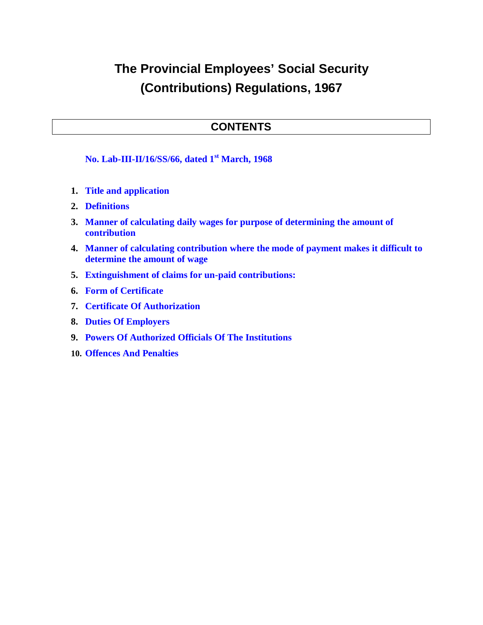# **The Provincial Employees' Social Security (Contributions) Regulations, 1967**

## **CONTENTS**

**No. Lab-III-II/16/SS/66, dated 1st March, 1968**

- **1. Title and application**
- **2. Definitions**
- **3. Manner of calculating daily wages for purpose of determining the amount of contribution**
- **4. Manner of calculating contribution where the mode of payment makes it difficult to determine the amount of wage**
- **5. Extinguishment of claims for un-paid contributions:**
- **6. Form of Certificate**
- **7. Certificate Of Authorization**
- **8. Duties Of Employers**
- **9. Powers Of Authorized Officials Of The Institutions**
- **10. Offences And Penalties**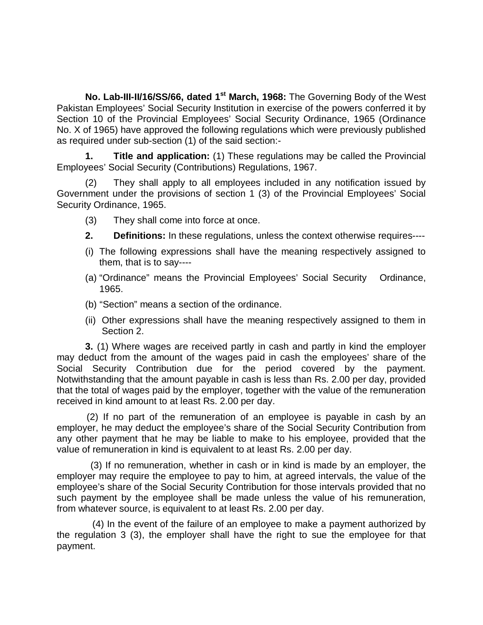**No. Lab-III-II/16/SS/66, dated 1st March, 1968:** The Governing Body of the West Pakistan Employees' Social Security Institution in exercise of the powers conferred it by Section 10 of the Provincial Employees' Social Security Ordinance, 1965 (Ordinance No. X of 1965) have approved the following regulations which were previously published as required under sub-section (1) of the said section:-

**1. Title and application:** (1) These regulations may be called the Provincial Employees' Social Security (Contributions) Regulations, 1967.

(2) They shall apply to all employees included in any notification issued by Government under the provisions of section 1 (3) of the Provincial Employees' Social Security Ordinance, 1965.

- (3) They shall come into force at once.
- **2. Definitions:** In these regulations, unless the context otherwise requires----
- (i) The following expressions shall have the meaning respectively assigned to them, that is to say----
- (a) "Ordinance" means the Provincial Employees' Social Security Ordinance, 1965.
- (b) "Section" means a section of the ordinance.
- (ii) Other expressions shall have the meaning respectively assigned to them in Section 2.

**3.** (1) Where wages are received partly in cash and partly in kind the employer may deduct from the amount of the wages paid in cash the employees' share of the Social Security Contribution due for the period covered by the payment. Notwithstanding that the amount payable in cash is less than Rs. 2.00 per day, provided that the total of wages paid by the employer, together with the value of the remuneration received in kind amount to at least Rs. 2.00 per day.

(2) If no part of the remuneration of an employee is payable in cash by an employer, he may deduct the employee's share of the Social Security Contribution from any other payment that he may be liable to make to his employee, provided that the value of remuneration in kind is equivalent to at least Rs. 2.00 per day.

 (3) If no remuneration, whether in cash or in kind is made by an employer, the employer may require the employee to pay to him, at agreed intervals, the value of the employee's share of the Social Security Contribution for those intervals provided that no such payment by the employee shall be made unless the value of his remuneration, from whatever source, is equivalent to at least Rs. 2.00 per day.

(4) In the event of the failure of an employee to make a payment authorized by the regulation 3 (3), the employer shall have the right to sue the employee for that payment.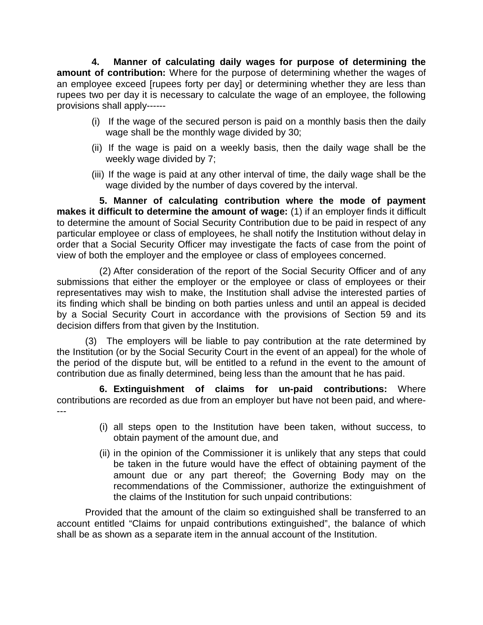**4. Manner of calculating daily wages for purpose of determining the amount of contribution:** Where for the purpose of determining whether the wages of an employee exceed [rupees forty per day] or determining whether they are less than rupees two per day it is necessary to calculate the wage of an employee, the following provisions shall apply------

- (i) If the wage of the secured person is paid on a monthly basis then the daily wage shall be the monthly wage divided by 30;
- (ii) If the wage is paid on a weekly basis, then the daily wage shall be the weekly wage divided by 7;
- (iii) If the wage is paid at any other interval of time, the daily wage shall be the wage divided by the number of days covered by the interval.

**5. Manner of calculating contribution where the mode of payment makes it difficult to determine the amount of wage:** (1) if an employer finds it difficult to determine the amount of Social Security Contribution due to be paid in respect of any particular employee or class of employees, he shall notify the Institution without delay in order that a Social Security Officer may investigate the facts of case from the point of view of both the employer and the employee or class of employees concerned.

(2) After consideration of the report of the Social Security Officer and of any submissions that either the employer or the employee or class of employees or their representatives may wish to make, the Institution shall advise the interested parties of its finding which shall be binding on both parties unless and until an appeal is decided by a Social Security Court in accordance with the provisions of Section 59 and its decision differs from that given by the Institution.

(3) The employers will be liable to pay contribution at the rate determined by the Institution (or by the Social Security Court in the event of an appeal) for the whole of the period of the dispute but, will be entitled to a refund in the event to the amount of contribution due as finally determined, being less than the amount that he has paid.

**6. Extinguishment of claims for un-paid contributions:** Where contributions are recorded as due from an employer but have not been paid, and where- ---

- (i) all steps open to the Institution have been taken, without success, to obtain payment of the amount due, and
- (ii) in the opinion of the Commissioner it is unlikely that any steps that could be taken in the future would have the effect of obtaining payment of the amount due or any part thereof; the Governing Body may on the recommendations of the Commissioner, authorize the extinguishment of the claims of the Institution for such unpaid contributions:

Provided that the amount of the claim so extinguished shall be transferred to an account entitled "Claims for unpaid contributions extinguished", the balance of which shall be as shown as a separate item in the annual account of the Institution.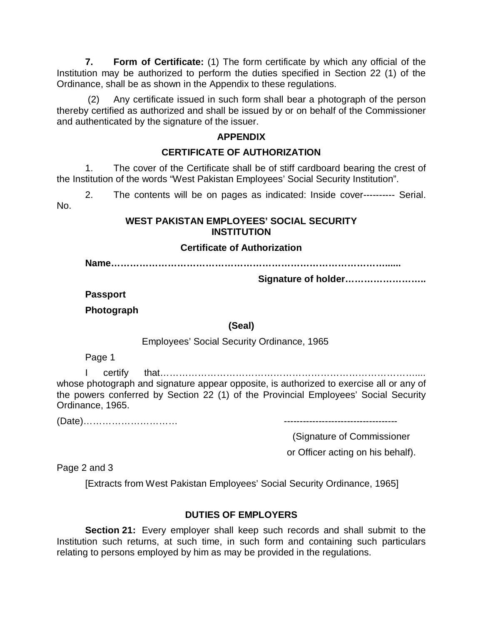**7. Form of Certificate:** (1) The form certificate by which any official of the Institution may be authorized to perform the duties specified in Section 22 (1) of the Ordinance, shall be as shown in the Appendix to these regulations.

(2) Any certificate issued in such form shall bear a photograph of the person thereby certified as authorized and shall be issued by or on behalf of the Commissioner and authenticated by the signature of the issuer.

#### **APPENDIX**

#### **CERTIFICATE OF AUTHORIZATION**

1. The cover of the Certificate shall be of stiff cardboard bearing the crest of the Institution of the words "West Pakistan Employees' Social Security Institution".

2. The contents will be on pages as indicated: Inside cover---------- Serial. No.

#### **WEST PAKISTAN EMPLOYEES' SOCIAL SECURITY INSTITUTION**

#### **Certificate of Authorization**

**Name……………………………………………………………………………......**

**Signature of holder……………………..**

**Passport**

**Photograph**

**(Seal)**

Employees' Social Security Ordinance, 1965

Page 1

I certify that……………………………………………………………………….... whose photograph and signature appear opposite, is authorized to exercise all or any of the powers conferred by Section 22 (1) of the Provincial Employees' Social Security Ordinance, 1965.

(Date)………………………… ------------------------------------

(Signature of Commissioner

or Officer acting on his behalf).

Page 2 and 3

[Extracts from West Pakistan Employees' Social Security Ordinance, 1965]

### **DUTIES OF EMPLOYERS**

**Section 21:** Every employer shall keep such records and shall submit to the Institution such returns, at such time, in such form and containing such particulars relating to persons employed by him as may be provided in the regulations.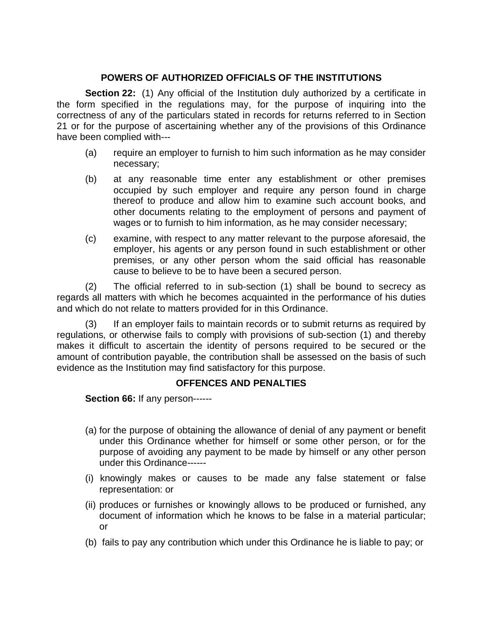#### **POWERS OF AUTHORIZED OFFICIALS OF THE INSTITUTIONS**

**Section 22:** (1) Any official of the Institution duly authorized by a certificate in the form specified in the regulations may, for the purpose of inquiring into the correctness of any of the particulars stated in records for returns referred to in Section 21 or for the purpose of ascertaining whether any of the provisions of this Ordinance have been complied with---

- (a) require an employer to furnish to him such information as he may consider necessary;
- (b) at any reasonable time enter any establishment or other premises occupied by such employer and require any person found in charge thereof to produce and allow him to examine such account books, and other documents relating to the employment of persons and payment of wages or to furnish to him information, as he may consider necessary;
- (c) examine, with respect to any matter relevant to the purpose aforesaid, the employer, his agents or any person found in such establishment or other premises, or any other person whom the said official has reasonable cause to believe to be to have been a secured person.

(2) The official referred to in sub-section (1) shall be bound to secrecy as regards all matters with which he becomes acquainted in the performance of his duties and which do not relate to matters provided for in this Ordinance.

(3) If an employer fails to maintain records or to submit returns as required by regulations, or otherwise fails to comply with provisions of sub-section (1) and thereby makes it difficult to ascertain the identity of persons required to be secured or the amount of contribution payable, the contribution shall be assessed on the basis of such evidence as the Institution may find satisfactory for this purpose.

#### **OFFENCES AND PENALTIES**

**Section 66:** If any person------

- (a) for the purpose of obtaining the allowance of denial of any payment or benefit under this Ordinance whether for himself or some other person, or for the purpose of avoiding any payment to be made by himself or any other person under this Ordinance------
- (i) knowingly makes or causes to be made any false statement or false representation: or
- (ii) produces or furnishes or knowingly allows to be produced or furnished, any document of information which he knows to be false in a material particular; or
- (b) fails to pay any contribution which under this Ordinance he is liable to pay; or